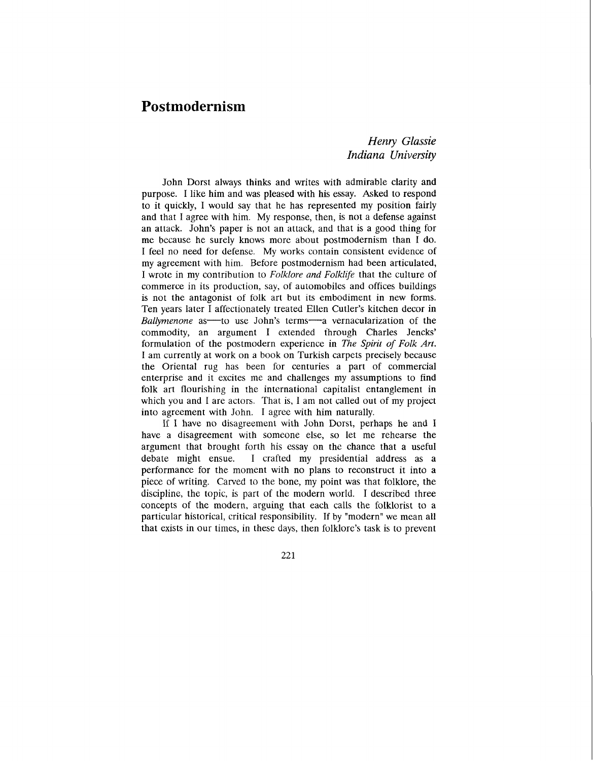## **Postmodernism**

## *Henry Glassie Indiana University*

John Dorst always thinks and writes with admirable clarity and purpose. I like him and was pleased with his essay. Asked to respond to it quickly, I would say that he has represented my position fairly and that I agree with him. My response, then, is not a defense against an attack. John's paper is not an attack, and that is a good thing for me because he surely knows more about postmodernism than I do. I feel no need for defense. My works contain consistent evidence of my agreement with him. Before postmodernism had been articulated, I wrote in my contribution to *Folklore and Folklfe* that the culture of commerce in its production, say, of automobiles and offices buildings is not the antagonist of folk art but its embodiment in new forms. Ten years later I affectionately treated Ellen Cutler's kitchen decor in *Ballymenone* as to use John's terms a vernacularization of the commodity, an argument I extended through Charles Jencks' formulation of the postmodern experience in *The Spirit of Folk Art. <sup>I</sup>*am currently at work on a book on Turkish carpets precisely because the Oriental rug has been for centuries a part of commercial enterprise and it excites me and challenges my assumptions to find folk art flourishing in the international capitalist entanglement in which you and I are actors. That is, I am not called out of my project into agreement with John. I agree with him naturally.

If I have no disagreement with John Dorst, perhaps he and I have a disagreement with someone else, so let me rehearse the argument that brought forth his essay on the chance that a useful debate might ensue. I crafted my presidential address as a performance for the moment with no plans to reconstruct it into a piece of writing. Carved to the bone, my point was that folklore, the discipline, the topic, is part of the modern world. I described three concepts of the modern, arguing that each calls the folklorist to a particular historical, critical responsibility. If by "modern" we mean all that exists in our times, in these days, then folklore's task is to prevent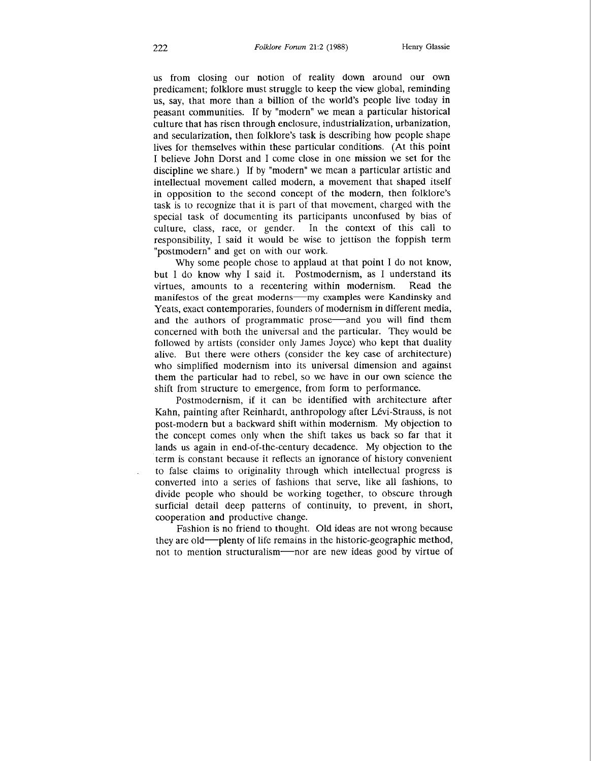us from closing our notion of reality down around our own predicament; folklore must struggle to keep the view global, reminding us, say, that more than a billion of the world's people live today in peasant communities. If by "modern" we mean a particular historical culture that has risen through enclosure, industrialization, urbanization, and secularization, then folklore's task is describing how people shape lives for themselves within these particular conditions. (At this point I believe John Dorst and I come close in one mission we set for the discipline we share.) If by "modern" we mean a particular artistic and intellectual movement called modern, a movement that shaped itself in opposition to the second concept of the modern, then folklore's task is to recognize that it is part of that movement, charged with the special task of documenting its participants unconfused by bias of culture, class, race, or gender. In the context of this call to responsibility, I said it would be wise to jettison the foppish term "postmodern" and get on with our work.

Why some people chose to applaud at that point I do not know, but I do know why I said it. Postmodernism, as I understand its virtues, amounts to a recentering within modernism. Read the manifestos of the great moderns—my examples were Kandinsky and Yeats, exact contemporaries, founders of modernism in different media, and the authors of programmatic prose—and you will find them concerned with both the universal and the particular. They would be followed by artists (consider only James Joyce) who kept that duality alive. But there were others (consider the key case of architecture) who simplified modernism into its universal dimension and against them the particular had to rebel, so we have in our own science the shift from structure to emergence, from form to performance.

Postmodernism, if it can be identified with architecture after Kahn, painting after Reinhardt, anthropology after Lévi-Strauss, is not post-modern but a backward shift within modernism. My objection to the concept comes only when the shift takes us back so far that it lands us again in end-of-the-century decadence. My objection to the term is constant because it reflects an ignorance of history convenient to false claims to originality through which intellectual progress is converted into a series of fashions that serve, like all fashions, to divide people who should be working together, to obscure through surficial detail deep patterns of continuity, to prevent, in short, cooperation and productive change.

Fashion is no friend to thought. Old ideas are not wrong because they are old-plenty of life remains in the historic-geographic method, not to mention structuralism-nor are new ideas good by virtue of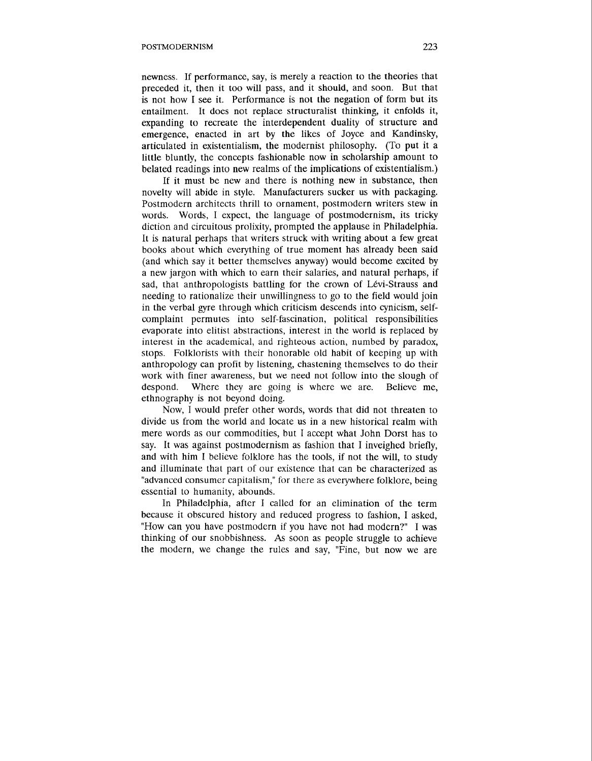newness. If performance, say, is merely a reaction to the theories that preceded it, then it too will pass, and it should, and soon. But that is not how I see it. Performance is not the negation of form but its entailment. It does not replace structuralist thinking, it enfolds it, expanding to recreate the interdependent duality of structure and emergence, enacted in art by the likes of Joyce and Kandinsky, articulated in existentialism, the modernist philosophy. (To put it a little bluntly, the concepts fashionable now in scholarship amount to belated readings into new realms of the implications of existentialism.)

If it must be new and there is nothing new in substance, then novelty will abide in style. Manufacturers sucker us with packaging. Postmodern architects thrill to ornament, postmodern writers stew in words. Words, I expect, the language of postmodernism, its tricky diction and circuitous prolixity, prompted the applause in Philadelphia. It is natural perhaps that writers struck with writing about a few great books about which everything of true moment has already been said (and which say it better themselves anyway) would become excited by a new jargon with which to earn their salaries, and natural perhaps, if sad, that anthropologists battling for the crown of Lévi-Strauss and needing to rationalize their unwillingness to go to the field would join in the verbal gyre through which criticism descends into cynicism, selfcomplaint permutes into self-fascination, political responsibilities evaporate into elitist abstractions, interest in the world is replaced by interest in the academical, and righteous action, numbed by paradox, stops. Folklorists with their honorable old habit of keeping up with anthropology can profit by listening, chastening themselves to do their work with finer awareness, but we need not follow into the slough of despond. Where they are going is where we are. Believe me, despond. Where they are going is where we are. ethnography is not beyond doing.

Now, I would prefer other words, words that did not threaten to divide us from the world and locate us in a new historical realm with mere words as our commodities, but I accept what John Dorst has to say. It was against postmodernism as fashion that I inveighed briefly, and with him I believe folklore has the tools, if not the will, to study and illuminate that part of our existence that can be characterized as "advanced consumer capitalism," for there as everywhere folklore, being essential to humanity, abounds.

In Philadelphia, after I called for an elimination of the term because it obscured history and reduced progress to fashion, I asked, "How can you have postmodern if you have not had modern?" I was thinking of our snobbishness. **As** soon as people struggle to achieve the modern, we change the rules and say, "Fine, but now we are